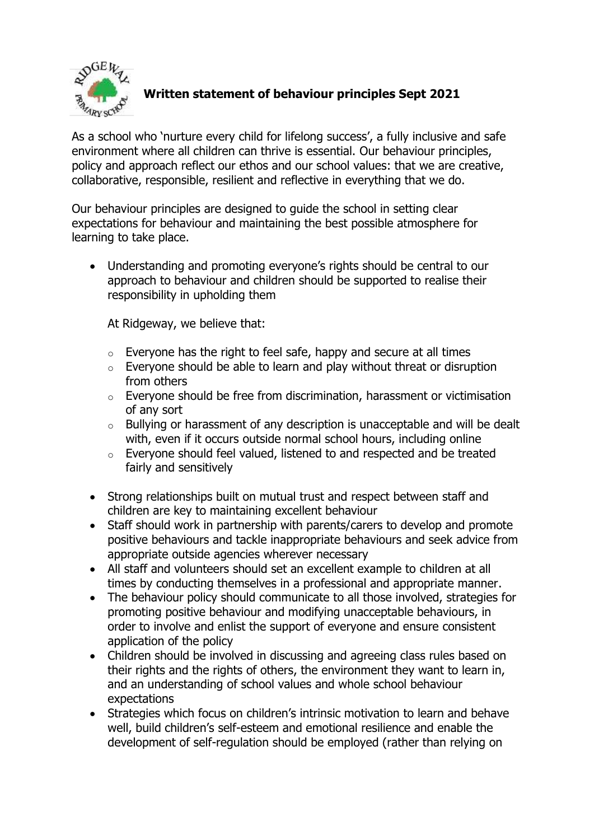

## **Written statement of behaviour principles Sept 2021**

As a school who 'nurture every child for lifelong success', a fully inclusive and safe environment where all children can thrive is essential. Our behaviour principles, policy and approach reflect our ethos and our school values: that we are creative, collaborative, responsible, resilient and reflective in everything that we do.

Our behaviour principles are designed to guide the school in setting clear expectations for behaviour and maintaining the best possible atmosphere for learning to take place.

 Understanding and promoting everyone's rights should be central to our approach to behaviour and children should be supported to realise their responsibility in upholding them

At Ridgeway, we believe that:

- $\circ$  Everyone has the right to feel safe, happy and secure at all times
- $\circ$  Everyone should be able to learn and play without threat or disruption from others
- o Everyone should be free from discrimination, harassment or victimisation of any sort
- o Bullying or harassment of any description is unacceptable and will be dealt with, even if it occurs outside normal school hours, including online
- o Everyone should feel valued, listened to and respected and be treated fairly and sensitively
- Strong relationships built on mutual trust and respect between staff and children are key to maintaining excellent behaviour
- Staff should work in partnership with parents/carers to develop and promote positive behaviours and tackle inappropriate behaviours and seek advice from appropriate outside agencies wherever necessary
- All staff and volunteers should set an excellent example to children at all times by conducting themselves in a professional and appropriate manner.
- The behaviour policy should communicate to all those involved, strategies for promoting positive behaviour and modifying unacceptable behaviours, in order to involve and enlist the support of everyone and ensure consistent application of the policy
- Children should be involved in discussing and agreeing class rules based on their rights and the rights of others, the environment they want to learn in, and an understanding of school values and whole school behaviour expectations
- Strategies which focus on children's intrinsic motivation to learn and behave well, build children's self-esteem and emotional resilience and enable the development of self-regulation should be employed (rather than relying on